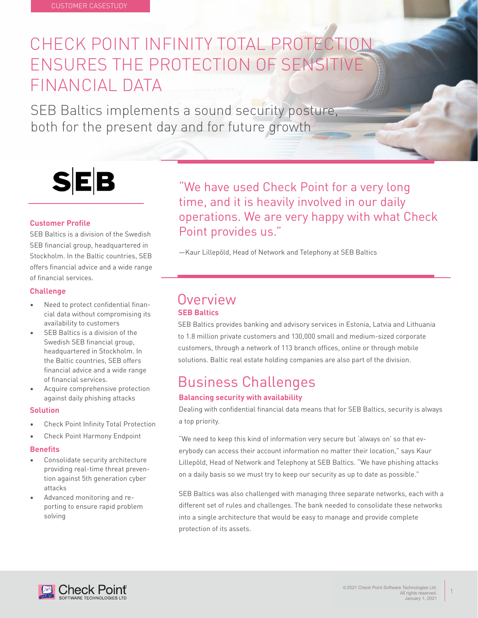## CHECK POINT INFINITY TOTAL PROTECTION ENSURES THE PROTECTION OF SENSITIVE FINANCIAL DATA

SEB Baltics implements a sound security posture, both for the present day and for future growth

# **SEB**

### **Customer Profile**

SEB Baltics is a division of the Swedish SEB financial group, headquartered in Stockholm. In the Baltic countries, SEB offers financial advice and a wide range of financial services.

#### **Challenge**

- Need to protect confidential financial data without compromising its availability to customers
- SEB Baltics is a division of the Swedish SEB financial group, headquartered in Stockholm. In the Baltic countries, SEB offers financial advice and a wide range of financial services.
- Acquire comprehensive protection against daily phishing attacks

#### **Solution**

- Check Point Infinity Total Protection
- Check Point Harmony Endpoint

#### **Benefits**

- Consolidate security architecture providing real-time threat prevention against 5th generation cyber attacks
- Advanced monitoring and reporting to ensure rapid problem solving

"We have used Check Point for a very long time, and it is heavily involved in our daily operations. We are very happy with what Check Point provides us."

—Kaur Lillepõld, Head of Network and Telephony at SEB Baltics

### **Overview SEB Baltics**

SEB Baltics provides banking and advisory services in Estonia, Latvia and Lithuania to 1.8 million private customers and 130,000 small and medium-sized corporate customers, through a network of 113 branch offices, online or through mobile solutions. Baltic real estate holding companies are also part of the division.

### Business Challenges

### **Balancing security with availability**

Dealing with confidential financial data means that for SEB Baltics, security is always a top priority.

"We need to keep this kind of information very secure but 'always on' so that everybody can access their account information no matter their location," says Kaur Lillepõld, Head of Network and Telephony at SEB Baltics. "We have phishing attacks on a daily basis so we must try to keep our security as up to date as possible."

SEB Baltics was also challenged with managing three separate networks, each with a different set of rules and challenges. The bank needed to consolidate these networks into a single architecture that would be easy to manage and provide complete protection of its assets.



1